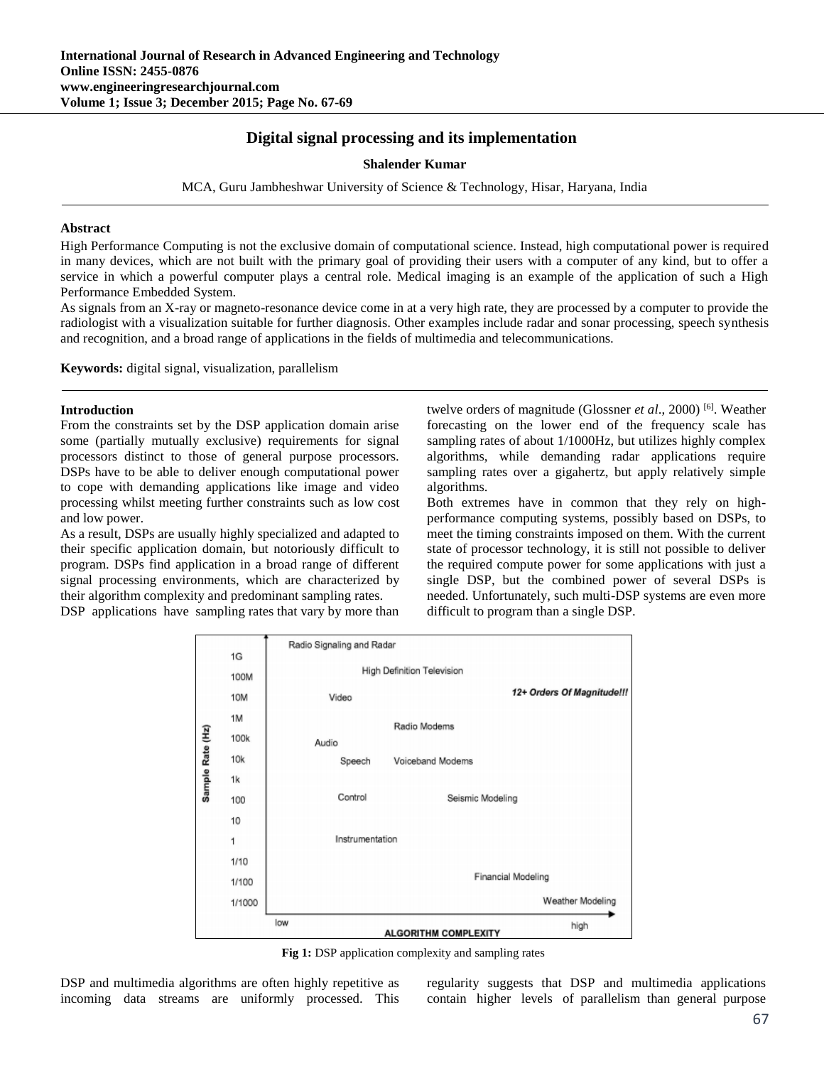# **Digital signal processing and its implementation**

#### **Shalender Kumar**

MCA, Guru Jambheshwar University of Science & Technology, Hisar, Haryana, India

#### **Abstract**

High Performance Computing is not the exclusive domain of computational science. Instead, high computational power is required in many devices, which are not built with the primary goal of providing their users with a computer of any kind, but to offer a service in which a powerful computer plays a central role. Medical imaging is an example of the application of such a High Performance Embedded System.

As signals from an X-ray or magneto-resonance device come in at a very high rate, they are processed by a computer to provide the radiologist with a visualization suitable for further diagnosis. Other examples include radar and sonar processing, speech synthesis and recognition, and a broad range of applications in the fields of multimedia and telecommunications.

**Keywords:** digital signal, visualization, parallelism

#### **Introduction**

From the constraints set by the DSP application domain arise some (partially mutually exclusive) requirements for signal processors distinct to those of general purpose processors. DSPs have to be able to deliver enough computational power to cope with demanding applications like image and video processing whilst meeting further constraints such as low cost and low power.

As a result, DSPs are usually highly specialized and adapted to their specific application domain, but notoriously difficult to program. DSPs find application in a broad range of different signal processing environments, which are characterized by their algorithm complexity and predominant sampling rates.

DSP applications have sampling rates that vary by more than

twelve orders of magnitude (Glossner *et al*., 2000) [6]. Weather forecasting on the lower end of the frequency scale has sampling rates of about 1/1000Hz, but utilizes highly complex algorithms, while demanding radar applications require sampling rates over a gigahertz, but apply relatively simple algorithms.

Both extremes have in common that they rely on highperformance computing systems, possibly based on DSPs, to meet the timing constraints imposed on them. With the current state of processor technology, it is still not possible to deliver the required compute power for some applications with just a single DSP, but the combined power of several DSPs is needed. Unfortunately, such multi-DSP systems are even more difficult to program than a single DSP.



**Fig 1:** DSP application complexity and sampling rates

DSP and multimedia algorithms are often highly repetitive as incoming data streams are uniformly processed. This regularity suggests that DSP and multimedia applications contain higher levels of parallelism than general purpose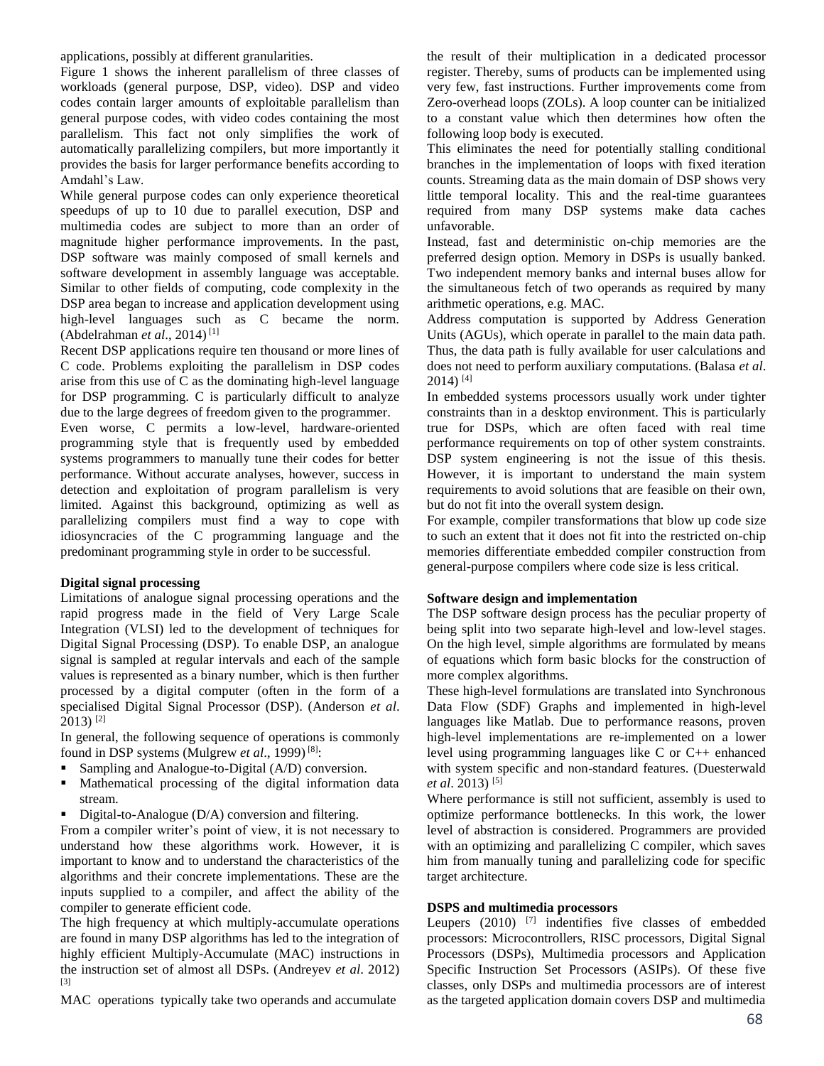applications, possibly at different granularities.

Figure 1 shows the inherent parallelism of three classes of workloads (general purpose, DSP, video). DSP and video codes contain larger amounts of exploitable parallelism than general purpose codes, with video codes containing the most parallelism. This fact not only simplifies the work of automatically parallelizing compilers, but more importantly it provides the basis for larger performance benefits according to Amdahl's Law.

While general purpose codes can only experience theoretical speedups of up to 10 due to parallel execution, DSP and multimedia codes are subject to more than an order of magnitude higher performance improvements. In the past, DSP software was mainly composed of small kernels and software development in assembly language was acceptable. Similar to other fields of computing, code complexity in the DSP area began to increase and application development using high-level languages such as C became the norm. (Abdelrahman *et al*., 2014) [1]

Recent DSP applications require ten thousand or more lines of C code. Problems exploiting the parallelism in DSP codes arise from this use of C as the dominating high-level language for DSP programming. C is particularly difficult to analyze due to the large degrees of freedom given to the programmer.

Even worse, C permits a low-level, hardware-oriented programming style that is frequently used by embedded systems programmers to manually tune their codes for better performance. Without accurate analyses, however, success in detection and exploitation of program parallelism is very limited. Against this background, optimizing as well as parallelizing compilers must find a way to cope with idiosyncracies of the C programming language and the predominant programming style in order to be successful.

### **Digital signal processing**

Limitations of analogue signal processing operations and the rapid progress made in the field of Very Large Scale Integration (VLSI) led to the development of techniques for Digital Signal Processing (DSP). To enable DSP, an analogue signal is sampled at regular intervals and each of the sample values is represented as a binary number, which is then further processed by a digital computer (often in the form of a specialised Digital Signal Processor (DSP). (Anderson *et al*.  $2013$ <sup>[2]</sup>

In general, the following sequence of operations is commonly found in DSP systems (Mulgrew *et al*., 1999) [8]:

- Sampling and Analogue-to-Digital (A/D) conversion.
- Mathematical processing of the digital information data stream.
- Digital-to-Analogue  $(D/A)$  conversion and filtering.

From a compiler writer's point of view, it is not necessary to understand how these algorithms work. However, it is important to know and to understand the characteristics of the algorithms and their concrete implementations. These are the inputs supplied to a compiler, and affect the ability of the compiler to generate efficient code.

The high frequency at which multiply-accumulate operations are found in many DSP algorithms has led to the integration of highly efficient Multiply-Accumulate (MAC) instructions in the instruction set of almost all DSPs. (Andreyev *et al*. 2012) [3]

MAC operations typically take two operands and accumulate

the result of their multiplication in a dedicated processor register. Thereby, sums of products can be implemented using very few, fast instructions. Further improvements come from Zero-overhead loops (ZOLs). A loop counter can be initialized to a constant value which then determines how often the following loop body is executed.

This eliminates the need for potentially stalling conditional branches in the implementation of loops with fixed iteration counts. Streaming data as the main domain of DSP shows very little temporal locality. This and the real-time guarantees required from many DSP systems make data caches unfavorable.

Instead, fast and deterministic on-chip memories are the preferred design option. Memory in DSPs is usually banked. Two independent memory banks and internal buses allow for the simultaneous fetch of two operands as required by many arithmetic operations, e.g. MAC.

Address computation is supported by Address Generation Units (AGUs), which operate in parallel to the main data path. Thus, the data path is fully available for user calculations and does not need to perform auxiliary computations. (Balasa *et al*.  $2014$ ) [4]

In embedded systems processors usually work under tighter constraints than in a desktop environment. This is particularly true for DSPs, which are often faced with real time performance requirements on top of other system constraints. DSP system engineering is not the issue of this thesis. However, it is important to understand the main system requirements to avoid solutions that are feasible on their own, but do not fit into the overall system design.

For example, compiler transformations that blow up code size to such an extent that it does not fit into the restricted on-chip memories differentiate embedded compiler construction from general-purpose compilers where code size is less critical.

### **Software design and implementation**

The DSP software design process has the peculiar property of being split into two separate high-level and low-level stages. On the high level, simple algorithms are formulated by means of equations which form basic blocks for the construction of more complex algorithms.

These high-level formulations are translated into Synchronous Data Flow (SDF) Graphs and implemented in high-level languages like Matlab. Due to performance reasons, proven high-level implementations are re-implemented on a lower level using programming languages like C or C++ enhanced with system specific and non-standard features. (Duesterwald *et al*. 2013) [5]

Where performance is still not sufficient, assembly is used to optimize performance bottlenecks. In this work, the lower level of abstraction is considered. Programmers are provided with an optimizing and parallelizing C compiler, which saves him from manually tuning and parallelizing code for specific target architecture.

### **DSPS and multimedia processors**

Leupers (2010) <sup>[7]</sup> indentifies five classes of embedded processors: Microcontrollers, RISC processors, Digital Signal Processors (DSPs), Multimedia processors and Application Specific Instruction Set Processors (ASIPs). Of these five classes, only DSPs and multimedia processors are of interest as the targeted application domain covers DSP and multimedia